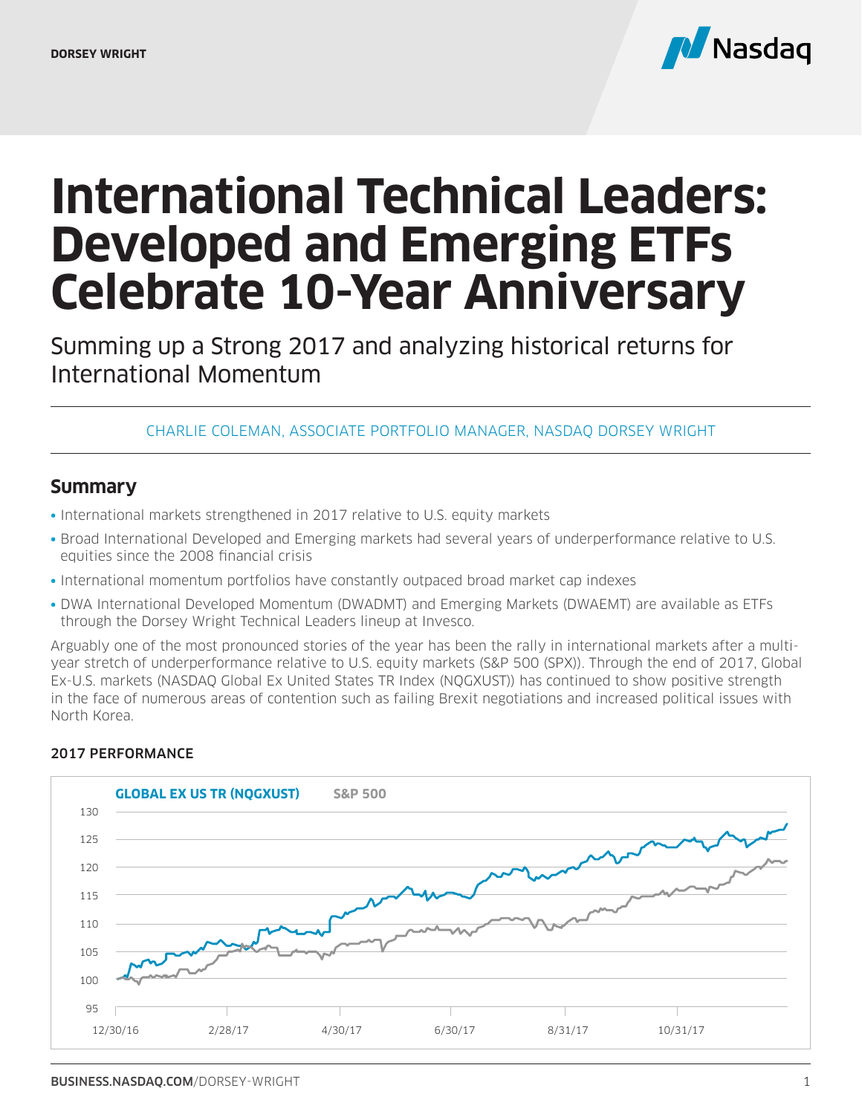

# **International Technical Leaders: Developed and Emerging ETFs Celebrate 10-Year Anniversary**

Summing up a Strong 2017 and analyzing historical returns for International Momentum

#### CHARLIE COLEMAN, ASSOCIATE PORTFOLIO MANAGER, NASDAQ DORSEY WRIGHT

### **Summary**

- International markets strengthened in 2017 relative to U.S. equity markets
- Broad International Developed and Emerging markets had several years of underperformance relative to U.S. equities since the 2008 financial crisis
- International momentum portfolios have constantly outpaced broad market cap indexes
- DWA International Developed Momentum (DWADMT) and Emerging Markets (DWAEMT) are available as ETFs through the Dorsey Wright Technical Leaders lineup at Invesco.

Arguably one of the most pronounced stories of the year has been the rally in international markets after a multiyear stretch of underperformance relative to U.S. equity markets (S&P 500 (SPX)). Through the end of 2017, Global Ex-U.S. markets (NASDAQ Global Ex United States TR Index (NQGXUST)) has continued to show positive strength in the face of numerous areas of contention such as failing Brexit negotiations and increased political issues with North Korea.



#### 2017 PERFORMANCE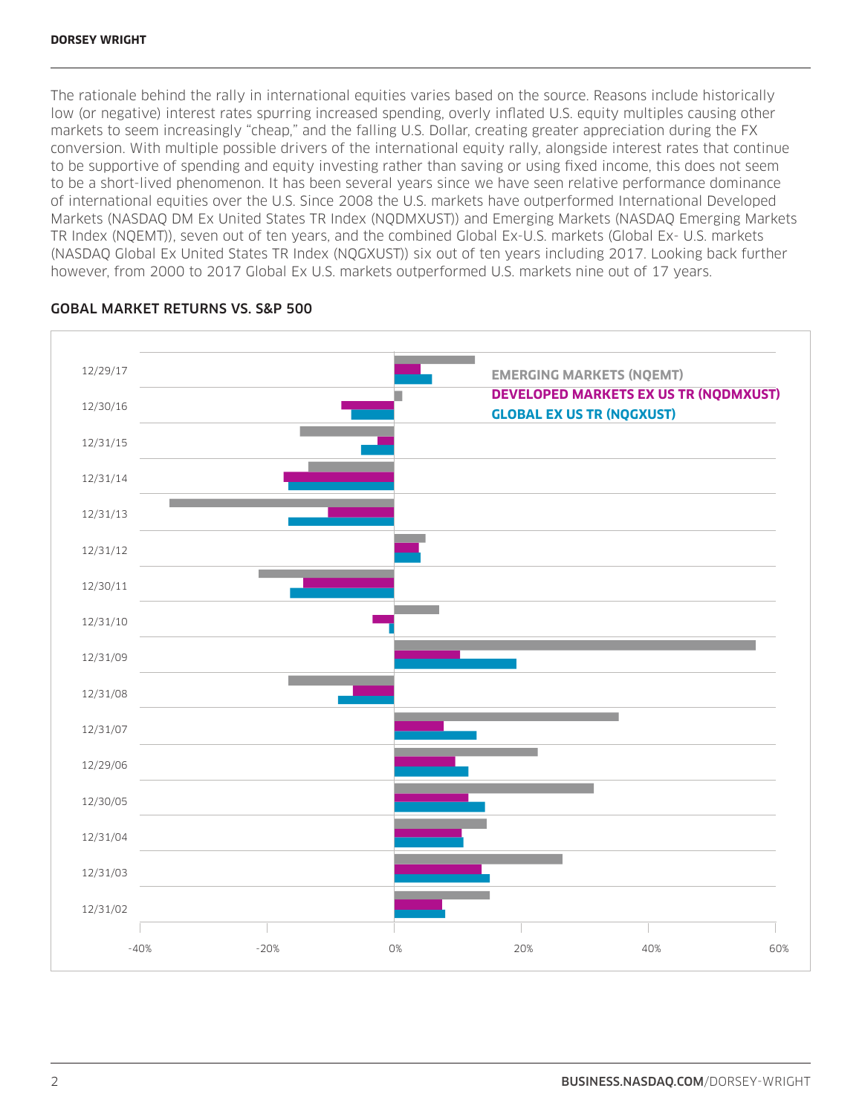#### **DORSEY WRIGHT**

The rationale behind the rally in international equities varies based on the source. Reasons include historically low (or negative) interest rates spurring increased spending, overly inflated U.S. equity multiples causing other markets to seem increasingly "cheap," and the falling U.S. Dollar, creating greater appreciation during the FX conversion. With multiple possible drivers of the international equity rally, alongside interest rates that continue to be supportive of spending and equity investing rather than saving or using fixed income, this does not seem to be a short-lived phenomenon. It has been several years since we have seen relative performance dominance of international equities over the U.S. Since 2008 the U.S. markets have outperformed International Developed Markets (NASDAQ DM Ex United States TR Index (NQDMXUST)) and Emerging Markets (NASDAQ Emerging Markets TR Index (NQEMT)), seven out of ten years, and the combined Global Ex-U.S. markets (Global Ex- U.S. markets (NASDAQ Global Ex United States TR Index (NQGXUST)) six out of ten years including 2017. Looking back further however, from 2000 to 2017 Global Ex U.S. markets outperformed U.S. markets nine out of 17 years.



#### GOBAL MARKET RETURNS VS. S&P 500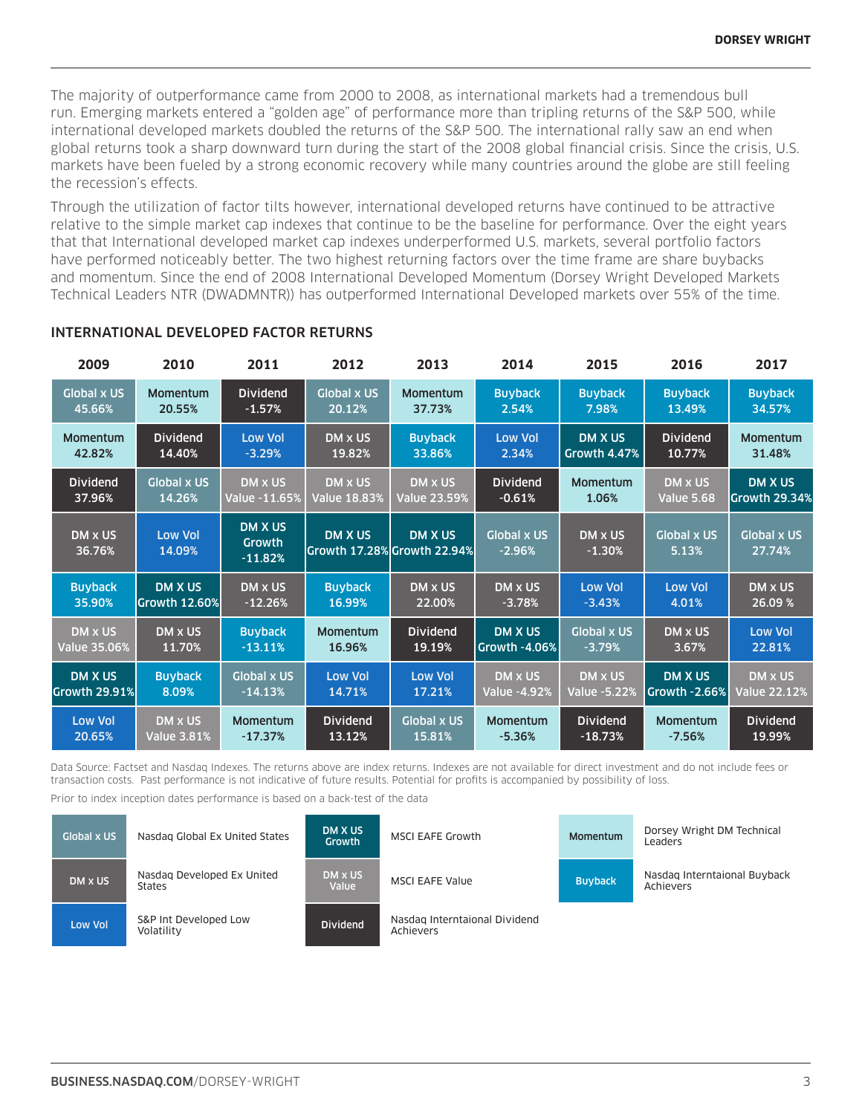The majority of outperformance came from 2000 to 2008, as international markets had a tremendous bull run. Emerging markets entered a "golden age" of performance more than tripling returns of the S&P 500, while international developed markets doubled the returns of the S&P 500. The international rally saw an end when global returns took a sharp downward turn during the start of the 2008 global financial crisis. Since the crisis, U.S. markets have been fueled by a strong economic recovery while many countries around the globe are still feeling the recession's effects.

Through the utilization of factor tilts however, international developed returns have continued to be attractive relative to the simple market cap indexes that continue to be the baseline for performance. Over the eight years that that International developed market cap indexes underperformed U.S. markets, several portfolio factors have performed noticeably better. The two highest returning factors over the time frame are share buybacks and momentum. Since the end of 2008 International Developed Momentum (Dorsey Wright Developed Markets Technical Leaders NTR (DWADMNTR)) has outperformed International Developed markets over 55% of the time.

| 2009                | 2010                 | 2011                                  | 2012               | 2013                                          | 2014                           | 2015                | 2016                        | 2017                         |
|---------------------|----------------------|---------------------------------------|--------------------|-----------------------------------------------|--------------------------------|---------------------|-----------------------------|------------------------------|
| <b>Global x US</b>  | <b>Momentum</b>      | <b>Dividend</b>                       | <b>Global x US</b> | <b>Momentum</b>                               | <b>Buyback</b>                 | <b>Buyback</b>      | <b>Buyback</b>              | <b>Buyback</b>               |
| 45.66%              | 20.55%               | $-1.57%$                              | 20.12%             | 37.73%                                        | 2.54%                          | 7.98%               | 13.49%                      | 34.57%                       |
| <b>Momentum</b>     | <b>Dividend</b>      | <b>Low Vol</b>                        | DM x US            | <b>Buyback</b>                                | <b>Low Vol</b>                 | <b>DM X US</b>      | <b>Dividend</b>             | Momentum                     |
| 42.82%              | 14.40%               | $-3.29%$                              | 19.82%             | 33.86%                                        | 2.34%                          | Growth 4.47%        | 10.77%                      | 31.48%                       |
| <b>Dividend</b>     | <b>Global x US</b>   | DM x US                               | DM x US            | DM x US                                       | <b>Dividend</b>                | Momentum            | DM x US                     | <b>DM X US</b>               |
| 37.96%              | 14.26%               | Value -11.65%                         | Value 18.83%       | <b>Value 23.59%</b>                           | $-0.61%$                       | 1.06%               | <b>Value 5.68</b>           | Growth 29.34%                |
| DM x US<br>36.76%   | Low Vol<br>14.09%    | <b>DM X US</b><br>Growth<br>$-11.82%$ | <b>DM X US</b>     | <b>DM X US</b><br>Growth 17.28% Growth 22.94% | <b>Global x US</b><br>$-2.96%$ | DM x US<br>$-1.30%$ | <b>Global x US</b><br>5.13% | <b>Global x US</b><br>27.74% |
| <b>Buyback</b>      | <b>DM X US</b>       | <b>DM x US</b>                        | <b>Buyback</b>     | DM x US                                       | DM x US                        | <b>Low Vol</b>      | <b>Low Vol</b>              | DM x US                      |
| 35.90%              | <b>Growth 12.60%</b> | $-12.26%$                             | 16.99%             | 22.00%                                        | $-3.78%$                       | $-3.43%$            | 4.01%                       | 26.09 %                      |
| DM x US             | DM x US              | <b>Buyback</b>                        | <b>Momentum</b>    | <b>Dividend</b>                               | <b>DM X US</b>                 | <b>Global x US</b>  | DM x US                     | <b>Low Vol</b>               |
| <b>Value 35.06%</b> | 11.70%               | $-13.11%$                             | 16.96%             | 19.19%                                        | Growth -4.06%                  | $-3.79%$            | 3.67%                       | 22.81%                       |
| DM X US             | <b>Buyback</b>       | <b>Global x US</b>                    | <b>Low Vol</b>     | <b>Low Vol</b>                                | DM x US                        | DM x US             | <b>DM X US</b>              | DM x US                      |
| Growth 29.91%       | 8.09%                | $-14.13%$                             | 14.71%             | 17.21%                                        | <b>Value -4.92%</b>            | <b>Value -5.22%</b> | Growth -2.66%               | <b>Value 22.12%</b>          |
| <b>Low Vol</b>      | DM x US              | <b>Momentum</b>                       | <b>Dividend</b>    | <b>Global x US</b>                            | Momentum                       | <b>Dividend</b>     | <b>Momentum</b>             | <b>Dividend</b>              |
| 20.65%              | <b>Value 3.81%</b>   | $-17.37%$                             | 13.12%             | 15.81%                                        | $-5.36%$                       | $-18.73%$           | $-7.56%$                    | 19.99%                       |

#### INTERNATIONAL DEVELOPED FACTOR RETURNS

Data Source: Factset and Nasdaq Indexes. The returns above are index returns. Indexes are not available for direct investment and do not include fees or transaction costs. Past performance is not indicative of future results. Potential for profits is accompanied by possibility of loss.

Prior to index inception dates performance is based on a back-test of the data

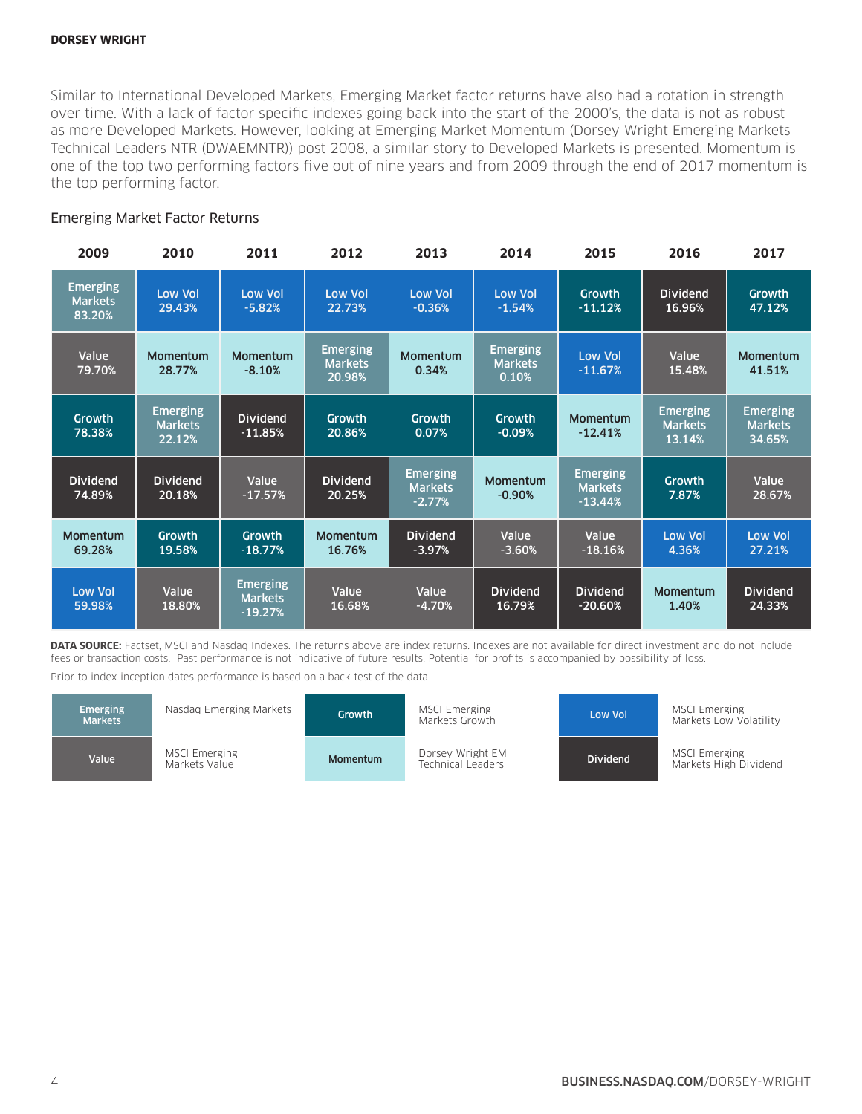Similar to International Developed Markets, Emerging Market factor returns have also had a rotation in strength over time. With a lack of factor specific indexes going back into the start of the 2000's, the data is not as robust as more Developed Markets. However, looking at Emerging Market Momentum (Dorsey Wright Emerging Markets Technical Leaders NTR (DWAEMNTR)) post 2008, a similar story to Developed Markets is presented. Momentum is one of the top two performing factors five out of nine years and from 2009 through the end of 2017 momentum is the top performing factor.

#### Emerging Market Factor Returns

| 2009                                        | 2010                                        | 2011                                           | 2012                                        | 2013                                          | 2014                                       | 2015                                           | 2016                                        | 2017                                        |
|---------------------------------------------|---------------------------------------------|------------------------------------------------|---------------------------------------------|-----------------------------------------------|--------------------------------------------|------------------------------------------------|---------------------------------------------|---------------------------------------------|
| <b>Emerging</b><br><b>Markets</b><br>83.20% | <b>Low Vol</b><br>29.43%                    | <b>Low Vol</b><br>$-5.82%$                     | <b>Low Vol</b><br>22.73%                    | <b>Low Vol</b><br>$-0.36%$                    | <b>Low Vol</b><br>$-1.54%$                 | Growth<br>$-11.12%$                            | <b>Dividend</b><br>16.96%                   | <b>Growth</b><br>47.12%                     |
| Value<br>79.70%                             | Momentum<br>28.77%                          | Momentum<br>$-8.10%$                           | <b>Emerging</b><br><b>Markets</b><br>20.98% | <b>Momentum</b><br>0.34%                      | <b>Emerging</b><br><b>Markets</b><br>0.10% | <b>Low Vol</b><br>$-11.67%$                    | Value<br>15.48%                             | <b>Momentum</b><br>41.51%                   |
| <b>Growth</b><br>78.38%                     | <b>Emerging</b><br><b>Markets</b><br>22.12% | <b>Dividend</b><br>$-11.85%$                   | <b>Growth</b><br>20.86%                     | Growth<br>0.07%                               | Growth<br>$-0.09%$                         | Momentum<br>$-12.41%$                          | <b>Emerging</b><br><b>Markets</b><br>13.14% | <b>Emerging</b><br><b>Markets</b><br>34.65% |
| <b>Dividend</b><br>74.89%                   | <b>Dividend</b><br>20.18%                   | Value<br>$-17.57%$                             | <b>Dividend</b><br>20.25%                   | <b>Emerging</b><br><b>Markets</b><br>$-2.77%$ | Momentum<br>$-0.90%$                       | <b>Emerging</b><br><b>Markets</b><br>$-13.44%$ | Growth<br>7.87%                             | Value<br>28.67%                             |
| <b>Momentum</b><br>69.28%                   | <b>Growth</b><br>19.58%                     | <b>Growth</b><br>$-18.77%$                     | <b>Momentum</b><br>16.76%                   | <b>Dividend</b><br>$-3.97%$                   | Value<br>$-3.60%$                          | Value<br>$-18.16%$                             | <b>Low Vol</b><br>4.36%                     | <b>Low Vol</b><br>27.21%                    |
| Low Vol<br>59.98%                           | Value<br>18.80%                             | <b>Emerging</b><br><b>Markets</b><br>$-19.27%$ | Value<br>16.68%                             | Value<br>$-4.70%$                             | <b>Dividend</b><br>16.79%                  | <b>Dividend</b><br>$-20.60%$                   | Momentum<br>1.40%                           | <b>Dividend</b><br>24.33%                   |

**DATA SOURCE:** Factset, MSCI and Nasdaq Indexes. The returns above are index returns. Indexes are not available for direct investment and do not include fees or transaction costs. Past performance is not indicative of future results. Potential for profits is accompanied by possibility of loss.

Prior to index inception dates performance is based on a back-test of the data

| <b>Emerging</b><br><b>Markets</b> | Nasdag Emerging Markets               | <b>Growth</b> | <b>MSCI Emerging</b><br>Markets Growth | Low Vol         | MSCI Emerging<br>Markets Low Volatility       |
|-----------------------------------|---------------------------------------|---------------|----------------------------------------|-----------------|-----------------------------------------------|
| Value                             | <b>MSCI Emerging</b><br>Markets Value | Momentum      | Dorsey Wright EM<br>Technical Leaders  | <b>Dividend</b> | <b>MSCI Emerging</b><br>Markets High Dividend |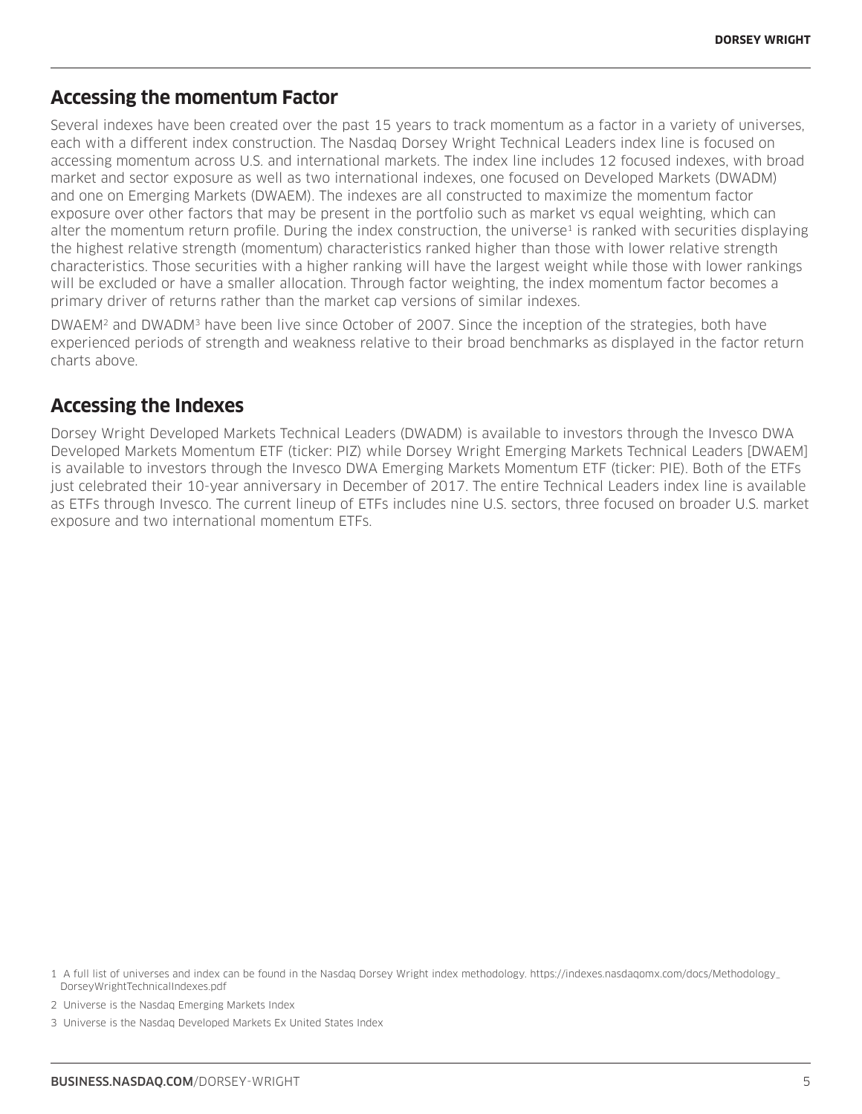## **Accessing the momentum Factor**

Several indexes have been created over the past 15 years to track momentum as a factor in a variety of universes, each with a different index construction. The Nasdaq Dorsey Wright Technical Leaders index line is focused on accessing momentum across U.S. and international markets. The index line includes 12 focused indexes, with broad market and sector exposure as well as two international indexes, one focused on Developed Markets (DWADM) and one on Emerging Markets (DWAEM). The indexes are all constructed to maximize the momentum factor exposure over other factors that may be present in the portfolio such as market vs equal weighting, which can alter the momentum return profile. During the index construction, the universe<sup>1</sup> is ranked with securities displaying the highest relative strength (momentum) characteristics ranked higher than those with lower relative strength characteristics. Those securities with a higher ranking will have the largest weight while those with lower rankings will be excluded or have a smaller allocation. Through factor weighting, the index momentum factor becomes a primary driver of returns rather than the market cap versions of similar indexes.

DWAEM2 and DWADM3 have been live since October of 2007. Since the inception of the strategies, both have experienced periods of strength and weakness relative to their broad benchmarks as displayed in the factor return charts above.

# **Accessing the Indexes**

Dorsey Wright Developed Markets Technical Leaders (DWADM) is available to investors through the Invesco DWA Developed Markets Momentum ETF (ticker: PIZ) while Dorsey Wright Emerging Markets Technical Leaders [DWAEM] is available to investors through the Invesco DWA Emerging Markets Momentum ETF (ticker: PIE). Both of the ETFs just celebrated their 10-year anniversary in December of 2017. The entire Technical Leaders index line is available as ETFs through Invesco. The current lineup of ETFs includes nine U.S. sectors, three focused on broader U.S. market exposure and two international momentum ETFs.

2 Universe is the Nasdaq Emerging Markets Index

<sup>1</sup> A full list of universes and index can be found in the Nasdaq Dorsey Wright index methodology. https://indexes.nasdaqomx.com/docs/Methodology\_ DorseyWrightTechnicalIndexes.pdf

<sup>3</sup> Universe is the Nasdaq Developed Markets Ex United States Index